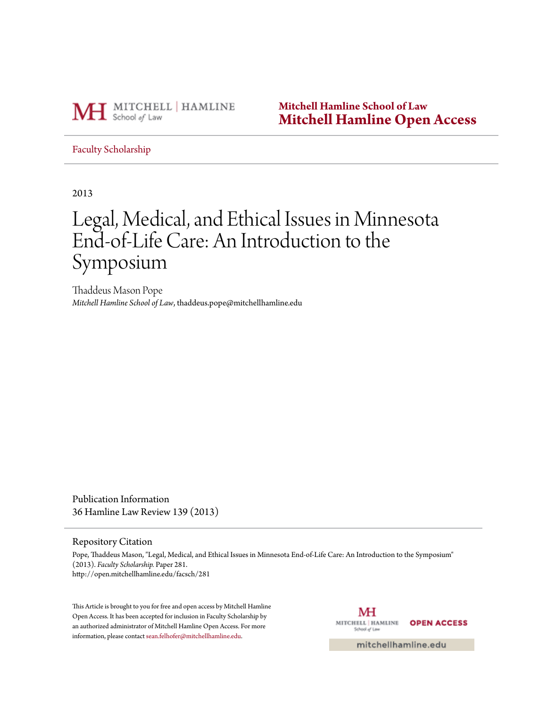

**Mitchell Hamline School of Law [Mitchell Hamline Open Access](http://open.mitchellhamline.edu)**

# [Faculty Scholarship](http://open.mitchellhamline.edu/facsch)

2013

# Legal, Medical, and Ethical Issues in Minnesota End-of-Life Care: An Introduction to the Symposium

Thaddeus Mason Pope *Mitchell Hamline School of Law*, thaddeus.pope@mitchellhamline.edu

Publication Information 36 Hamline Law Review 139 (2013)

#### Repository Citation

Pope, Thaddeus Mason, "Legal, Medical, and Ethical Issues in Minnesota End-of-Life Care: An Introduction to the Symposium" (2013). *Faculty Scholarship.* Paper 281. http://open.mitchellhamline.edu/facsch/281

This Article is brought to you for free and open access by Mitchell Hamline Open Access. It has been accepted for inclusion in Faculty Scholarship by an authorized administrator of Mitchell Hamline Open Access. For more information, please contact [sean.felhofer@mitchellhamline.edu.](mailto:sean.felhofer@mitchellhamline.edu)

MH MITCHELL | HAMLINE **OPEN ACCESS** School of Law

mitchellhamline.edu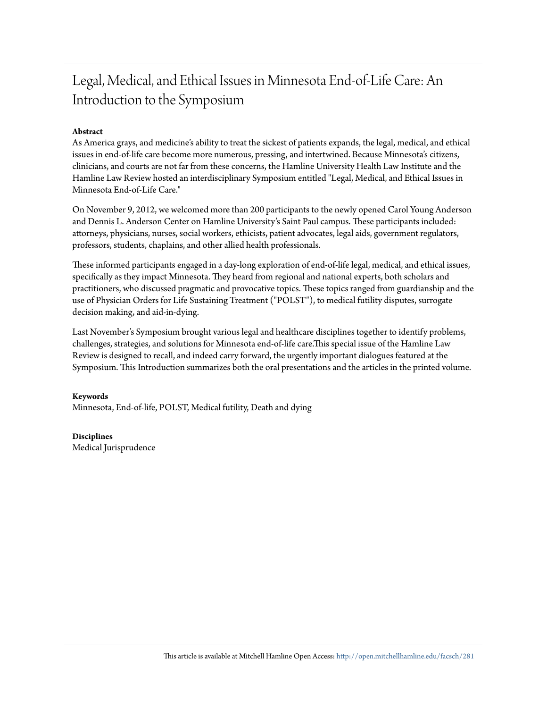# Legal, Medical, and Ethical Issues in Minnesota End-of-Life Care: An Introduction to the Symposium

# **Abstract**

As America grays, and medicine's ability to treat the sickest of patients expands, the legal, medical, and ethical issues in end-of-life care become more numerous, pressing, and intertwined. Because Minnesota's citizens, clinicians, and courts are not far from these concerns, the Hamline University Health Law Institute and the Hamline Law Review hosted an interdisciplinary Symposium entitled "Legal, Medical, and Ethical Issues in Minnesota End-of-Life Care."

On November 9, 2012, we welcomed more than 200 participants to the newly opened Carol Young Anderson and Dennis L. Anderson Center on Hamline University's Saint Paul campus. These participants included: attorneys, physicians, nurses, social workers, ethicists, patient advocates, legal aids, government regulators, professors, students, chaplains, and other allied health professionals.

These informed participants engaged in a day-long exploration of end-of-life legal, medical, and ethical issues, specifically as they impact Minnesota. They heard from regional and national experts, both scholars and practitioners, who discussed pragmatic and provocative topics. These topics ranged from guardianship and the use of Physician Orders for Life Sustaining Treatment ("POLST"), to medical futility disputes, surrogate decision making, and aid-in-dying.

Last November's Symposium brought various legal and healthcare disciplines together to identify problems, challenges, strategies, and solutions for Minnesota end-of-life care.This special issue of the Hamline Law Review is designed to recall, and indeed carry forward, the urgently important dialogues featured at the Symposium. This Introduction summarizes both the oral presentations and the articles in the printed volume.

**Keywords** Minnesota, End-of-life, POLST, Medical futility, Death and dying

**Disciplines** Medical Jurisprudence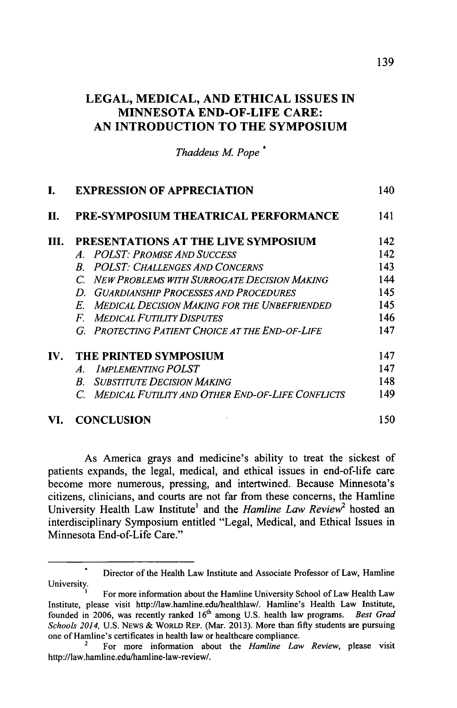# **LEGAL, MEDICAL, AND ETHICAL ISSUES IN MINNESOTA END-OF-LIFE CARE: AN INTRODUCTION TO THE SYMPOSIUM**

**Thaddeus M. Pope** 

|                       | <b>EXPRESSION OF APPRECIATION</b>                                  | 140 |
|-----------------------|--------------------------------------------------------------------|-----|
| H.                    | PRE-SYMPOSIUM THEATRICAL PERFORMANCE                               | 141 |
| HL.                   | PRESENTATIONS AT THE LIVE SYMPOSIUM                                | 142 |
|                       | A. POLST: Promise And Success                                      | 142 |
|                       | <b>POLST: CHALLENGES AND CONCERNS</b><br>R.                        | 143 |
|                       | C. NEW PROBLEMS WITH SURROGATE DECISION MAKING                     | 144 |
|                       | D. GUARDIANSHIP PROCESSES AND PROCEDURES                           | 145 |
|                       | <b>MEDICAL DECISION MAKING FOR THE UNBEFRIENDED</b><br>$E_{\cdot}$ | 145 |
|                       | <b>MEDICAL FUTILITY DISPUTES</b><br>$\bm{F}$                       | 146 |
|                       | G. PROTECTING PATIENT CHOICE AT THE END-OF-LIFE                    | 147 |
| $\mathbf{IV}_{\cdot}$ | THE PRINTED SYMPOSIUM                                              | 147 |
|                       | <b>IMPLEMENTING POLST</b><br>$\overline{A}$                        | 147 |
|                       | <b>SUBSTITUTE DECISION MAKING</b><br>$R_{-}$                       | 148 |
|                       | C. MEDICAL FUTILITY AND OTHER END-OF-LIFE CONFLICTS                | 149 |
| VI.                   | <b>CONCLUSION</b>                                                  | 150 |

As America grays and medicine's ability to treat the sickest of patients expands, the legal, medical, and ethical issues in end-of-life care become more numerous, pressing, and intertwined. Because Minnesota's citizens, clinicians, and courts are not far from these concerns, the Hamline University Health Law Institute' and the *Hamline Law Review2* hosted an interdisciplinary Symposium entitled "Legal, Medical, and Ethical Issues in Minnesota End-of-Life Care."

Director of the Health Law Institute and Associate Professor of Law, Hamline University.

For more information about the Hamline University School of Law Health Law Institute, please visit http://law.hamline.edu/healthlaw/. Hamline's Health Law Institute, founded in **2006,** was recently ranked 16th among **U.S.** health law programs. *Best Grad Schools 2014,* **U.S. NEWS &** WORLD REP. (Mar. **2013).** More than **fifty** students are pursuing one of Hamline's certificates in health law or healthcare compliance.

<sup>2</sup>For more information about the *Hamline Law Review,* please visit http://law.hamline.edu/hamline-law-review/.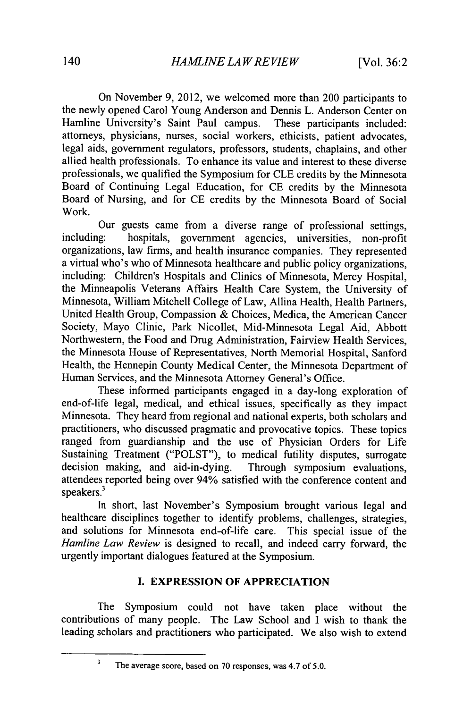On November **9,** 2012, we welcomed more than 200 participants to the newly opened Carol Young Anderson and Dennis L. Anderson Center on Hamline University's Saint Paul campus. These participants included: attorneys, physicians, nurses, social workers, ethicists, patient advocates, legal aids, government regulators, professors, students, chaplains, and other allied health professionals. To enhance its value and interest to these diverse professionals, we qualified the Symposium for **CLE** credits **by** the Minnesota Board of Continuing Legal Education, for **CE** credits **by** the Minnesota Board of Nursing, and for **CE** credits **by** the Minnesota Board of Social Work.

Our guests came from a diverse range of professional settings, including: hospitals, government agencies, universities, non-profit organizations, law firms, and health insurance companies. They represented a virtual who's who of Minnesota healthcare and public policy organizations, including: Children's Hospitals and Clinics of Minnesota, Mercy Hospital, the Minneapolis Veterans Affairs Health Care System, the University of Minnesota, William Mitchell College of Law, Allina Health, Health Partners, United Health Group, Compassion **&** Choices, Medica, the American Cancer Society, Mayo Clinic, Park Nicollet, Mid-Minnesota Legal Aid, Abbott Northwestern, the Food and Drug Administration, Fairview Health Services, the Minnesota House of Representatives, North Memorial Hospital, Sanford Health, the Hennepin County Medical Center, the Minnesota Department of Human Services, and the Minnesota Attorney General's Office.

These informed participants engaged in a day-long exploration of end-of-life legal, medical, and ethical issues, specifically as they impact Minnesota. They heard from regional and national experts, both scholars and practitioners, who discussed pragmatic and provocative topics. These topics ranged from guardianship and the use of Physician Orders for Life Sustaining Treatment ("POLST"), to medical futility disputes, surrogate decision making, and aid-in-dying. Through symposium evaluations, attendees reported being over 94% satisfied with the conference content and speakers.

In short, last November's Symposium brought various legal and healthcare disciplines together to identify problems, challenges, strategies, and solutions for Minnesota end-of-life care. This special issue of the *Hamline Law Review* is designed to recall, and indeed carry forward, the urgently important dialogues featured at the Symposium.

# **I. EXPRESSION OF APPRECIATION**

The Symposium could not have taken place without the contributions of many people. The Law School and **I** wish to thank the leading scholars and practitioners who participated. We also wish to extend

The average score, based on **70** responses, was 4.7 of *5.0.*

 $\overline{\mathbf{3}}$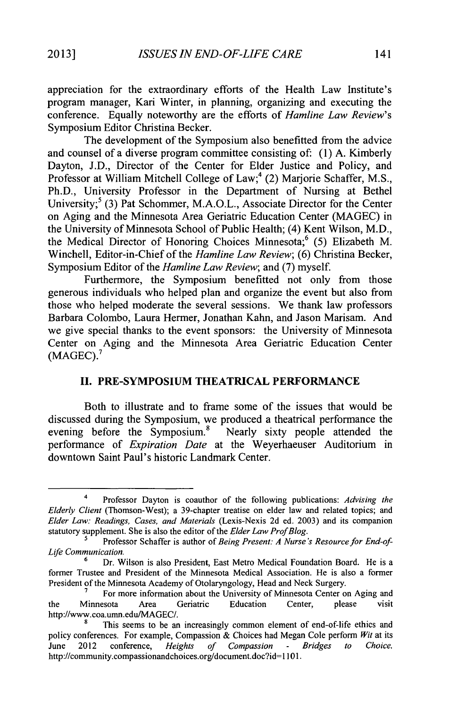appreciation for the extraordinary efforts of the Health Law Institute's program manager, Kari Winter, in planning, organizing and executing the conference. Equally noteworthy are the efforts of *Hamline Law Review's* Symposium Editor Christina Becker.

The development of the Symposium also benefitted from the advice and counsel of a diverse program committee consisting of: **(1) A.** Kimberly Dayton, **J.D.,** Director of the Center for Elder Justice and Policy, and Professor at William Mitchell College of Law;<sup>4</sup> (2) Marjorie Schaffer, M.S., Ph.D., University Professor in the Department of Nursing at Bethel University;<sup>5</sup> (3) Pat Schommer, M.A.O.L., Associate Director for the Center on Aging and the Minnesota Area Geriatric Education Center **(MAGEC)** in the University of Minnesota School of Public Health; (4) Kent Wilson, M.D., the Medical Director of Honoring Choices Minnesota;<sup>6</sup> (5) Elizabeth M. Winchell, Editor-in-Chief of the *Hamline Law Review;* **(6)** Christina Becker, Symposium Editor of the *Hamline Law Review;* and **(7)** myself.

Furthermore, the Symposium benefitted not only from those generous individuals who helped plan and organize the event but also from those who helped moderate the several sessions. We thank law professors Barbara Colombo, Laura Hermer, Jonathan Kahn, and Jason Marisam. And we give special thanks to the event sponsors: the University of Minnesota Center on Aging and the Minnesota Area Geriatric Education Center **(MAGEC). <sup>7</sup>**

### **II. PRE-SYMPOSIUM THEATRICAL PERFORMANCE**

Both to illustrate and to frame some of the issues that would be discussed during the Symposium, we produced a theatrical performance the evening before the Symposium.<sup>8</sup> Nearly sixty people attended the performance of *Expiration Date* at the Weyerhaeuser Auditorium in downtown Saint Paul's historic Landmark Center.

<sup>4</sup> Professor Dayton is coauthor of the following publications: *Advising the Elderly Client* (Thomson-West); a 39-chapter treatise on elder law and related topics; and *Elder Law: Readings, Cases, and Materials* (Lexis-Nexis **2d** ed. **2003)** and its companion statutory supplement. She is also the editor of the *Elder Law ProfBlog.*

Professor Schaffer is author of *Being Present: A Nurse's Resource for End-of-Life Communication.*

**<sup>6</sup>**Dr. Wilson is also President, East Metro Medical Foundation Board. He is a former Trustee and President of the Minnesota Medical Association. He is also a former President of the Minnesota Academy of Otolaryngology, Head and Neck Surgery.

**<sup>7</sup>**For more information about the University of Minnesota Center on Aging and the Minnesota Area Geriatric Education Center, please visit http://www.coa.umn.edu/MAGEC/.

This seems to be an increasingly common element of end-of-life ethics and policy conferences. For example, Compassion **&** Choices had Megan Cole perform *Wit* at its June 2012 conference, *Heights of Compassion* **-** *Bridges to Choice.* http://community.compassionandchoices.org/document.doc?id= **1101.**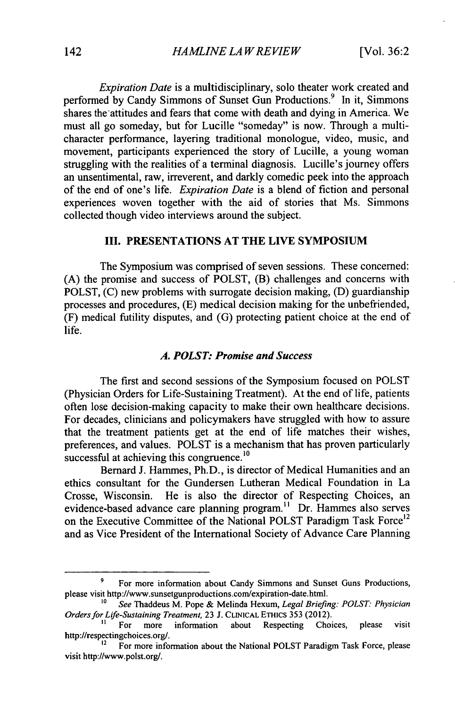*Expiration Date* is a multidisciplinary, solo theater work created and performed by Candy Simmons of Sunset Gun Productions.<sup>9</sup> In it, Simmons shares the attitudes and fears that come with death and dying in America. We must all go someday, but for Lucille "someday" is now. Through a multicharacter performance, layering traditional monologue, video, music, and movement, participants experienced the story of Lucille, a young woman struggling with the realities of a terminal diagnosis. Lucille's journey offers an unsentimental, raw, irreverent, and darkly comedic peek into the approach of the end of one's life. *Expiration Date* is a blend of fiction and personal experiences woven together with the aid of stories that Ms. Simmons collected though video interviews around the subject.

# **III. PRESENTATIONS AT THE LIVE SYMPOSIUM**

The Symposium was comprised of seven sessions. These concerned: **(A)** the promise and success of POLST, (B) challenges and concerns with POLST, **(C)** new problems with surrogate decision making, **(D)** guardianship processes and procedures, **(E)** medical decision making for the unbefriended, (F) medical futility disputes, and **(G)** protecting patient choice at the end of life.

#### *A. POLST: Promise and Success*

The first and second sessions of the Symposium focused on POLST (Physician Orders for Life-Sustaining Treatment). At the end of life, patients often lose decision-making capacity to make their own healthcare decisions. For decades, clinicians and policymakers have struggled with how to assure that the treatment patients get at the end of life matches their wishes, preferences, and values. POLST is a mechanism that has proven particularly successful at achieving this congruence.<sup>10</sup>

Bernard **J.** Hammes, Ph.D., is director of Medical Humanities and an ethics consultant for the Gundersen Lutheran Medical Foundation in La Crosse, Wisconsin. He is also the director of Respecting Choices, an evidence-based advance care planning program.<sup>11</sup> Dr. Hammes also serves on the Executive Committee of the National POLST Paradigm Task Force<sup>12</sup> and as Vice President of the International Society of Advance Care Planning

<sup>&</sup>lt;sup>9</sup> For more information about Candy Simmons and Sunset Guns Productions, please visit http://www.sunsetgunproductions.com/expiration-date.html.

**<sup>10</sup>** *See* Thaddeus M. Pope **&** Melinda Hexum, *Legal Briefing: POLST: Physician Orders for Life-Sustaining Treatment, 23 J. CLINICAL ETHICS 353 (2012).* <sup>11</sup> For more information about Respecting Choices, please visit

http://respectingchoices.org/.<br><sup>12</sup>For more information about the National POLST Paradigm Task Force, please

visit http://www.polst.org/.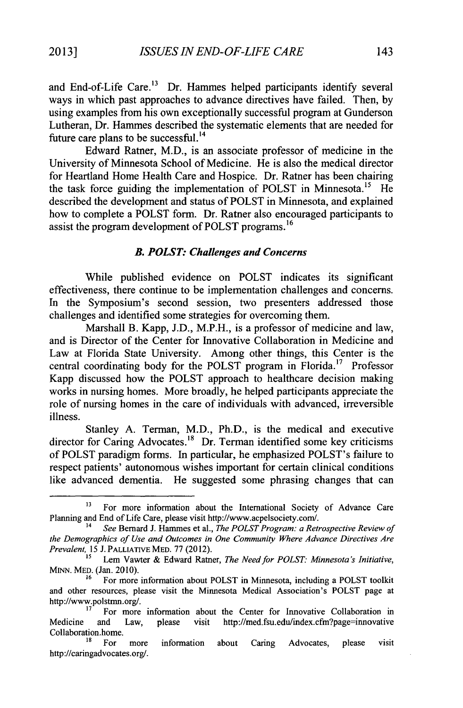and End-of-Life Care.<sup>13</sup> Dr. Hammes helped participants identify several ways in which past approaches to advance directives have failed. Then, **by** using examples from his own exceptionally successful program at Gunderson Lutheran, Dr. Hammes described the systematic elements that are needed for future care plans to be successful.<sup>14</sup>

Edward Ratner, M.D., is an associate professor of medicine in the University of Minnesota School of Medicine. He is also the medical director for Heartland Home Health Care and Hospice. Dr. Ratner has been chairing the task force guiding the implementation of POLST in Minnesota.<sup>15</sup> He described the development and status of POLST in Minnesota, and explained how to complete a POLST form. Dr. Ratner also encouraged participants to assist the program development of POLST programs.<sup>16</sup>

#### *B. POLST: Challenges and Concerns*

While published evidence on POLST indicates its significant effectiveness, there continue to be implementation challenges and concerns. In the Symposium's second session, two presenters addressed those challenges and identified some strategies for overcoming them.

Marshall B. Kapp, **J.D.,** M.P.H., is a professor of medicine and law, and is Director of the Center for Innovative Collaboration in Medicine and Law at Florida State University. Among other things, this Center is the central coordinating body for the POLST program in Florida.<sup>17</sup> Professor Kapp discussed how the POLST approach to healthcare decision making works in nursing homes. More broadly, he helped participants appreciate the role of nursing homes in the care of individuals with advanced, irreversible illness.

Stanley **A.** Terman, M.D., Ph.D., is the medical and executive director for Caring Advocates.<sup>18</sup> Dr. Terman identified some key criticisms of POLST paradigm forms. In particular, he emphasized POLST's failure to respect patients' autonomous wishes important for certain clinical conditions like advanced dementia. He suggested some phrasing changes that can

<sup>&</sup>lt;sup>13</sup> For more information about the International Society of Advance Care Planning and End of Life Care, please visit http://www.acpelsociety.com/. <sup>14</sup>*See* Bernard **J.** Hammes et al., *The POLST Program: a Retrospective Review of*

*the Demographics of Use and Outcomes in One Community Where Advance Directives Are Prevalent, 15* J.PALLLATIVE MED. **77** (2012).

*<sup>1</sup>s* Lem Vawter **&** Edward Ratner, *The Need for POLST: Minnesota's Initiative,* **MINN.** MED. (Jan. **2010).**

**<sup>16</sup>**For more information about POLST in Minnesota, including a POLST toolkit and other resources, please visit the Minnesota Medical Association's POLST page at http://www.polstmn.org/.

**<sup>17</sup>**For more information about the Center for Innovative Collaboration in Medicine and Law, please visit http://med.fsu.edu/index.cfm?page=innovative Collaboration.home.

For more information about Caring Advocates, please visit http://caringadvocates.org/.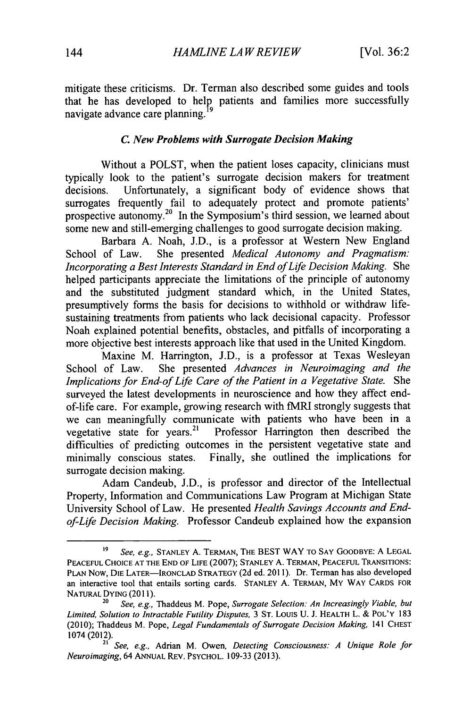mitigate these criticisms. Dr. Terman also described some guides and tools that he has developed to help patients and families more successfully navigate advance care planning.

#### *C. New Problems with Surrogate Decision Making*

Without a POLST, when the patient loses capacity, clinicians must typically look to the patient's surrogate decision makers for treatment decisions. Unfortunately, a significant body of evidence shows that surrogates frequently fail to adequately protect and promote patients prospective autonomy.<sup>20</sup> In the Symposium's third session, we learned about some new and still-emerging challenges to good surrogate decision making.

Barbara **A.** Noah, **J.D.,** is a professor at Western New England School of Law. She presented *Medical Autonomy and Pragmatism: Incorporating a Best Interests Standard in End of Life Decision Making. She* helped participants appreciate the limitations of the principle of autonomy and the substituted judgment standard which, in the United States, presumptively forms the basis for decisions to withhold or withdraw lifesustaining treatments from patients who lack decisional capacity. Professor Noah explained potential benefits, obstacles, and pitfalls of incorporating a more objective best interests approach like that used in the United Kingdom.

Maxine M. Harrington, **J.D.,** is a professor at Texas Wesleyan School of Law. She presented *Advances in Neuroimaging and the Implications for End-of Life Care of the Patient in a Vegetative State. She* surveyed the latest developments in neuroscience and how they affect endof-life care. For example, growing research with fMRI strongly suggests that we can meaningfully communicate with patients who have been in a vegetative state for years.<sup>21</sup> Professor Harrington then described the Professor Harrington then described the difficulties of predicting outcomes in the persistent vegetative state and minimally conscious states. Finally, she outlined the implications for surrogate decision making.

Adam Candeub, **J.D.,** is professor and director of the Intellectual Property, Information and Communications Law Program at Michigan State University School of Law. He presented *Health Savings Accounts and Endof-Life Decision Making.* Professor Candeub explained how the expansion

**<sup>19</sup>***See, e.g.,* **STANLEY A.** TERMAN, THE **BEST** WAY TO **SAY** GOODBYE: **A LEGAL PEACEFUL** CHOICE **AT** THE **END** OF **LIFE (2007); STANLEY A.** TERMAN, **PEACEFUL TRANSITIONS: PLAN** Now, **DIE** LATER-IRONCLAD STRATEGY **(2d** ed. **2011).** Dr. Terman has also developed an interactive tool that entails sorting cards. **STANLEY A.** TERMAN, MY WAY **CARDS** FOR **NATURAL** DYING **(2011).**

**<sup>20</sup>***See, e.g.,* Thaddeus M. Pope, *Surrogate Selection: An Increasingly Viable, but Limited, Solution to Intractable Futility Disputes,* **3 ST.** Louis **U. J.** HEALTH L. **&** POL'Y **183** (2010); Thaddeus M. Pope, *Legal Fundamentals of Surrogate Decision Making,* <sup>141</sup>**CHEST** 1074 (2012).

**<sup>21</sup>***See, e.g.,* Adrian M. Owen, *Detecting Consciousness: A Unique Role for Neuroimaging,* 64 **ANNUAL** REV. PSYCHOL. **109-33 (2013).**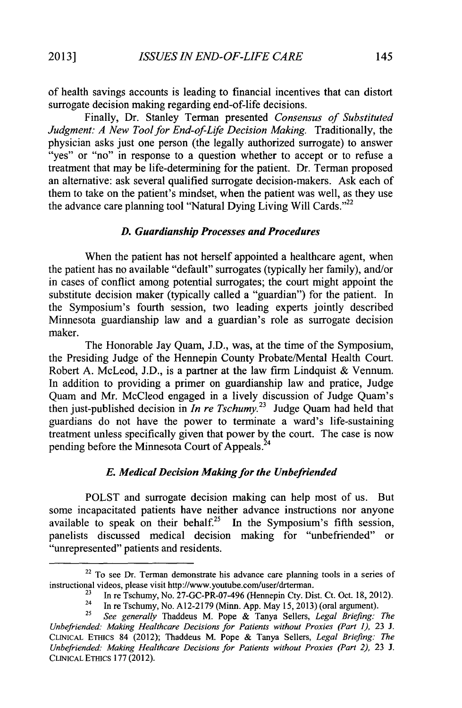of health savings accounts is leading to financial incentives that can distort

surrogate decision making regarding end-of-life decisions. Finally, Dr. Stanley Terman presented *Consensus of Substituted Judgment: A New Tool for End-of-Life Decision Making.* Traditionally, the physician asks just one person (the legally authorized surrogate) to answer "yes" or "no" in response to a question whether to accept or to refuse a treatment that may be life-determining for the patient. Dr. Terman proposed an alternative: ask several qualified surrogate decision-makers. Ask each of them to take on the patient's mindset, when the patient was well, as they use the advance care planning tool "Natural Dying Living Will Cards."<sup>22</sup>

#### *D. Guardianship Processes and Procedures*

When the patient has not herself appointed a healthcare agent, when the patient has no available "default" surrogates (typically her family), and/or in cases of conflict among potential surrogates; the court might appoint the substitute decision maker (typically called a "guardian") for the patient. In the Symposium's fourth session, two leading experts jointly described Minnesota guardianship law and a guardian's role as surrogate decision maker.

The Honorable Jay Quam, **J.D.,** was, at the time of the Symposium, the Presiding Judge of the Hennepin County Probate/Mental Health Court. Robert **A.** McLeod, **J.D.,** is a partner at the law firm Lindquist **&** Vennum. In addition to providing a primer on guardianship law and pratice, Judge Quam and Mr. McCleod engaged in a lively discussion of Judge Quam's then just-published decision in *In re Tschumy*.<sup>23</sup> Judge Quam had held that guardians do not have the power to terminate a ward's life-sustaining treatment unless specifically given that power **by** the court. The case is now pending before the Minnesota Court of Appeals.<sup>24</sup>

#### *E. Medical Decision Making for the Unbefriended*

POLST and surrogate decision making can help most of us. But some incapacitated patients have neither advance instructions nor anyone available to speak on their behalf.<sup>25</sup> In the Symposium's fifth session, panelists discussed medical decision making for "unbefriended" or "unrepresented" patients and residents.

<sup>&</sup>lt;sup>22</sup> To see Dr. Terman demonstrate his advance care planning tools in a series of instructional videos, please visit http://www.youtube.com/user/drterman.

**<sup>23</sup>**In re Tschumy, No. 27-GC-PR-07-496 (Hennepin Cty. Dist. Ct. Oct. **18,** 2012). 24 In re Tschumy, No. **A12-2179** (Minn. **App.** May *15,* **2013)** (oral argument).

**<sup>25</sup>***See generally* Thaddeus M. Pope **&** Tanya Sellers, *Legal Briefing: The Unbefriended: Making Healthcare Decisions for Patients without Proxies (Part 1), 23 J.* CLINICAL ETHics 84 (2012); Thaddeus M. Pope **&** Tanya Sellers, *Legal Briefing: The Unbefriended: Making Healthcare Decisions for Patients without Proxies (Part 2),* **23 J. CLINICAL ETHICS 177** (2012).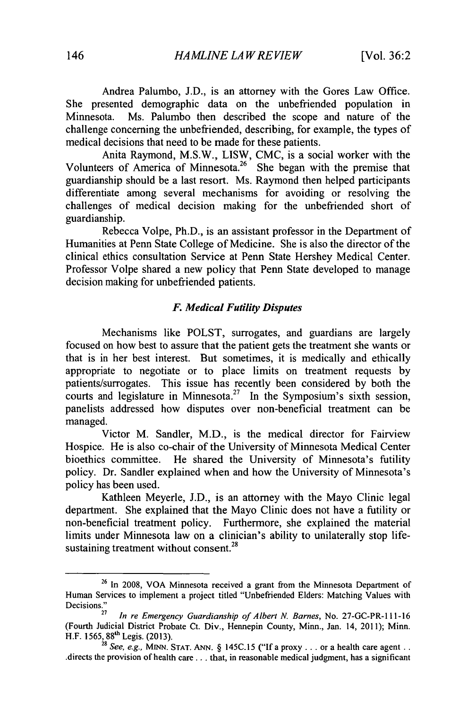Andrea Palumbo, **J.D.,** is an attorney with the Gores Law Office. She presented demographic data on the unbefriended population in<br>Minnesota. Ms. Palumbo then described the scope and nature of the Ms. Palumbo then described the scope and nature of the challenge concerning the unbefriended, describing, for example, the types of medical decisions that need to be made for these patients.

Anita Raymond, M.S.W., LISW, **CMC,** is a social worker with the Volunteers of America of Minnesota.<sup>26</sup> She began with the premise that guardianship should be a last resort. Ms. Raymond then helped participants differentiate among several mechanisms for avoiding or resolving the challenges of medical decision making for the unbefriended short of guardianship.

Rebecca Volpe, Ph.D., is an assistant professor in the Department of Humanities at Penn State College of Medicine. She is also the director of the clinical ethics consultation Service at Penn State Hershey Medical Center. Professor Volpe shared a new policy that Penn State developed to manage decision making for unbefriended patients.

#### *F. Medical Futility Disputes*

Mechanisms like POLST, surrogates, and guardians are largely focused on how best to assure that the patient gets the treatment she wants or that is in her best interest. But sometimes, it is medically and ethically appropriate to negotiate or to place limits on treatment requests **by** patients/surrogates. This issue has recently been considered **by** both the courts and legislature in Minnesota.<sup>27</sup> In the Symposium's sixth session, panelists addressed how disputes over non-beneficial treatment can be managed.

Victor M. Sandler, M.D., is the medical director for Fairview Hospice. He is also co-chair of the University of Minnesota Medical Center bioethics committee. He shared the University of Minnesota's futility policy. Dr. Sandler explained when and how the University of Minnesota's policy has been used.

Kathleen Meyerle, **J.D.,** is an attorney with the Mayo Clinic legal department. She explained that the Mayo Clinic does not have a futility or non-beneficial treatment policy. Furthermore, she explained the material limits under Minnesota law on a clinician's ability to unilaterally stop life-**<sup>28</sup>** sustaining treatment without consent.

<sup>&</sup>lt;sup>26</sup> In 2008, VOA Minnesota received a grant from the Minnesota Department of Human Services to implement a project titled "Unbefriended Elders: Matching Values with Decisions."

**<sup>27</sup>***In re* Emergency Guardianship *of* Albert **N.** Barnes, No. 27-GC-PR-1 **11-16** (Fourth Judicial District Probate Ct. Div., Hennepin County, Minn., Jan. 14, 2011); Minn. H.F. **1565, 88'h** Legis. **(2013).**

**<sup>28</sup>**See, *e.g.,* **MINN. STAT.** *ANN.* **§ 145C.15 ("If** a proxy **...** or a health care agent **. .** directs the provision of health care .. **.** that, in reasonable medical judgment, has a significant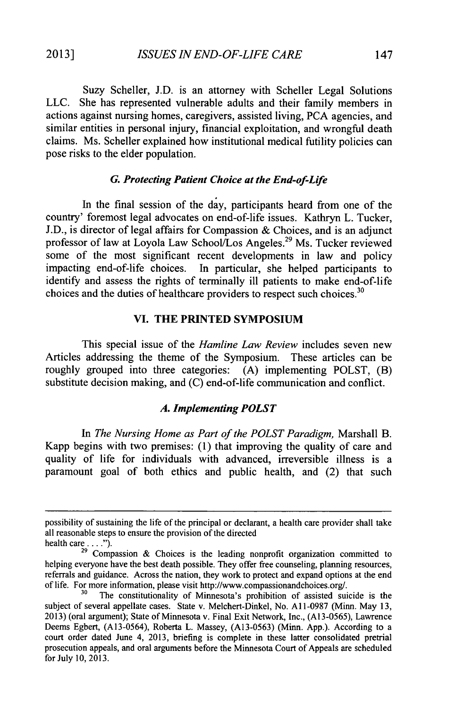Suzy Scheller, **J.D.** is an attorney with Scheller Legal Solutions **LLC.** She has represented vulnerable adults and their family members in actions against nursing homes, caregivers, assisted living, **PCA** agencies, and similar entities in personal injury, financial exploitation, and wrongful death claims. Ms. Scheller explained how institutional medical futility policies can pose risks to the elder population.

#### *G. Protecting Patient Choice at the End-of-Life*

In the final session of the **day,** participants heard from one of the country' foremost legal advocates on end-of-life issues. Kathryn L. Tucker, **J.D.,** is director of legal affairs for Compassion **&** Choices, and is an adjunct professor of law at Loyola Law School/Los Angeles.<sup>29</sup> Ms. Tucker reviewed some of the most significant recent developments in law and policy impacting end-of-life choices. In particular, she helped participants to identify and assess the rights of terminally ill patients to make end-of-life choices and the duties of healthcare providers to respect such choices. $30$ 

#### **VI. THE PRINTED SYMPOSIUM**

This special issue of the *Hamline Law Review* includes seven new Articles addressing the theme of the Symposium. These articles can be roughly grouped into three categories: **(A)** implementing POLST, (B) substitute decision making, and **(C)** end-of-life communication and conflict.

#### *A. Implementing POLST*

*In The Nursing Home as Part of the POLST Paradigm,* Marshall B. Kapp begins with two premises: **(1)** that improving the quality of care and quality of life for individuals with advanced, irreversible illness is a paramount goal of both ethics and public health, and (2) that such

possibility of sustaining the life of the principal or declarant, a health care provider shall take all reasonable steps to ensure the provision of the directed

health care  $\dots$ .").

**<sup>29</sup>**Compassion **&** Choices is the leading nonprofit organization committed to helping everyone have the best death possible. They offer free counseling, planning resources, referrals and guidance. Across the nation, they work to protect and expand options at the end of life. For more information, please visit http://www.compassionandchoices.org/.

**<sup>30</sup>**The constitutionality of Minnesota's prohibition of assisted suicide is the subject of several appellate cases. State v. Melchert-Dinkel, No. **A 1-0987** (Minn. May **13, 2013)** (oral argument); State of Minnesota v. Final Exit Network, Inc., **(A13-0565),** Lawrence Deems Egbert, **(A13-0564),** Roberta L. Massey, **(A13-0563)** (Minn. **App.).** According to a court order dated June 4, **2013,** briefing is complete in these latter consolidated pretrial prosecution appeals, and oral arguments before the Minnesota Court of Appeals are scheduled for July **10, 2013.**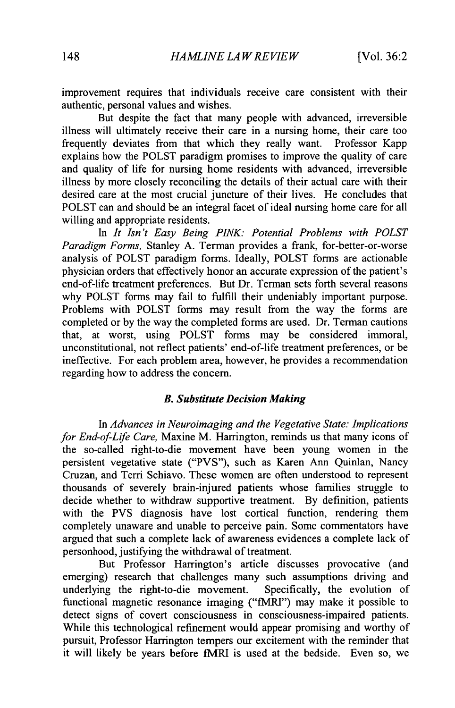improvement requires that individuals receive care consistent with their authentic, personal values and wishes.

But despite the fact that many people with advanced, irreversible illness will ultimately receive their care in a nursing home, their care too frequently deviates from that which they really want. Professor Kapp explains how the POLST paradigm promises to improve the quality of care and quality of life for nursing home residents with advanced, irreversible illness **by** more closely reconciling the details of their actual care with their desired care at the most crucial juncture of their lives. He concludes that POLST can and should be an integral facet of ideal nursing home care for all willing and appropriate residents.

In *It Isn't Easy Being PINK: Potential Problems with POLST Paradigm Forms,* Stanley **A.** Terman provides a frank, for-better-or-worse analysis of POLST paradigm forms. Ideally, POLST forms are actionable physician orders that effectively honor an accurate expression of the patient's end-of-life treatment preferences. But Dr. Terman sets forth several reasons why POLST forms may fail to fulfill their undeniably important purpose. Problems with POLST forms may result from the way the forms are completed or **by** the way the completed forms are used. Dr. Terman cautions that, at worst, using POLST forms may be considered immoral, unconstitutional, not reflect patients' end-of-life treatment preferences, or be ineffective. For each problem area, however, he provides a recommendation regarding how to address the concern.

#### *B. Substitute Decision Making*

*In Advances in Neuroimaging and the Vegetative State: Implications for End-of-Life Care,* Maxine M. Harrington, reminds us that many icons of the so-called right-to-die movement have been young women in the persistent vegetative state ("PVS"), such as Karen Ann Quinlan, Nancy Cruzan, and Terri Schiavo. These women are often understood to represent thousands of severely brain-injured patients whose families struggle to decide whether to withdraw supportive treatment. **By** definition, patients with the PVS diagnosis have lost cortical function, rendering them completely unaware and unable to perceive pain. Some commentators have argued that such a complete lack of awareness evidences a complete lack of personhood, justifying the withdrawal of treatment.

But Professor Harrington's article discusses provocative (and emerging) research that challenges many such assumptions driving and underlying the right-to-die movement. Specifically, the evolution of functional magnetic resonance imaging ("fMRI") may make it possible to detect signs of covert consciousness in consciousness-impaired patients. While this technological refinement would appear promising and worthy of pursuit, Professor Harrington tempers our excitement with the reminder that it will likely be years before fMRI is used at the bedside. Even so, we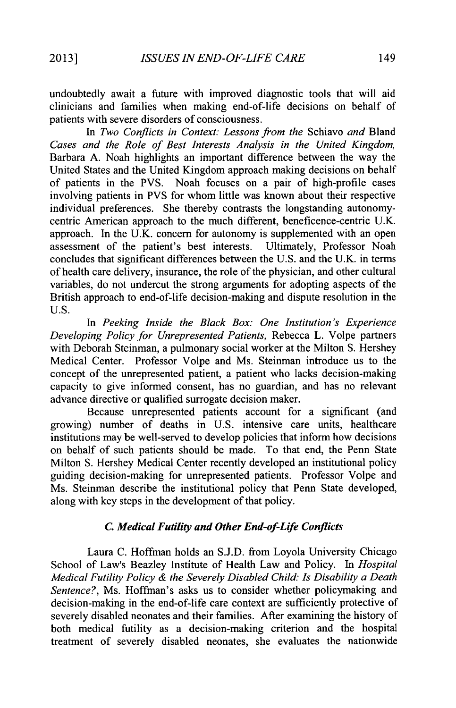undoubtedly await a future with improved diagnostic tools that will aid clinicians and families when making end-of-life decisions on behalf of patients with severe disorders of consciousness.

In *Two Conflicts in Context: Lessons from the* Schiavo *and* Bland *Cases and the Role of Best Interests Analysis in the United Kingdom,* Barbara **A.** Noah highlights an important difference between the way the United States and the United Kingdom approach making decisions on behalf of patients in the PVS. Noah focuses on a pair of high-profile cases involving patients in PVS for whom little was known about their respective individual preferences. She thereby contrasts the longstanding autonomycentric American approach to the much different, beneficence-centric **U.K.** approach. In the **U.K.** concern for autonomy is supplemented with an open assessment of the patient's best interests. Ultimately, Professor Noah concludes that significant differences between the **U.S.** and the **U.K.** in terms of health care delivery, insurance, the role of the physician, and other cultural variables, do not undercut the strong arguments for adopting aspects of the British approach to end-of-life decision-making and dispute resolution in the **U.S.**

*In Peeking Inside the Black Box: One Institution's Experience Developing Policy for Unrepresented Patients,* Rebecca L. Volpe partners with Deborah Steinman, a pulmonary social worker at the Milton **S.** Hershey Medical Center. Professor Volpe and Ms. Steinman introduce us to the concept of the unrepresented patient, a patient who lacks decision-making capacity to give informed consent, has no guardian, and has no relevant advance directive or qualified surrogate decision maker.

Because unrepresented patients account for a significant (and growing) number of deaths in **U.S.** intensive care units, healthcare institutions may be well-served to develop policies that inform how decisions on behalf of such patients should be made. To that end, the Penn State Milton **S.** Hershey Medical Center recently developed an institutional policy guiding decision-making for unrepresented patients. Professor Volpe and Ms. Steinman describe the institutional policy that Penn State developed, along with key steps in the development of that policy.

#### *C. Medical Futility and Other End-of-Life Conflicts*

Laura **C.** Hoffman holds an **S.J.D.** from Loyola University Chicago School of Law's Beazley Institute of Health Law and Policy. In *Hospital Medical Futility Policy & the Severely Disabled Child: Is Disability a Death Sentence?,* Ms. Hoffman's asks us to consider whether policymaking and decision-making in the end-of-life care context are sufficiently protective of severely disabled neonates and their families. After examining the history of both medical futility as a decision-making criterion and the hospital treatment of severely disabled neonates, she evaluates the nationwide